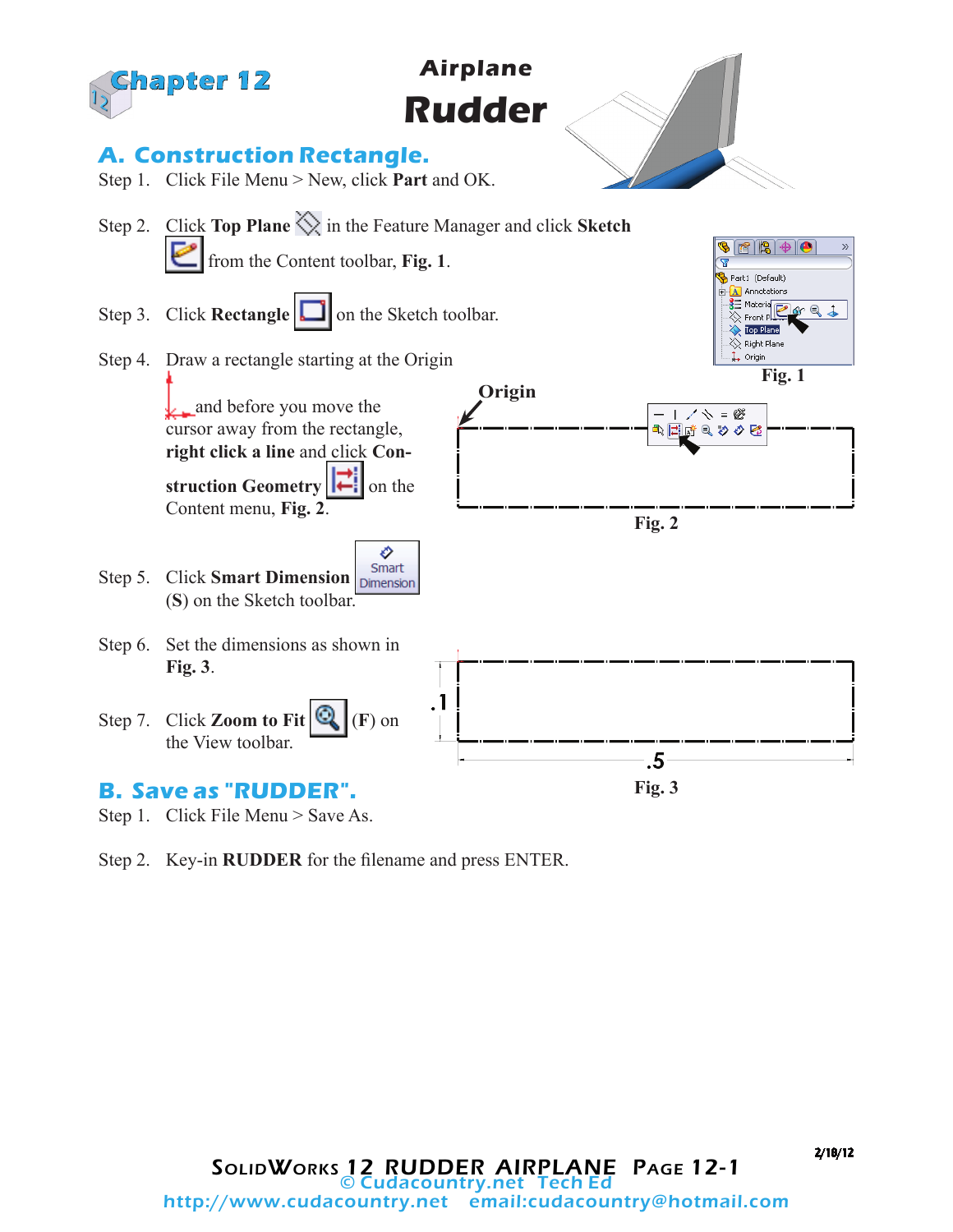

Step 2. Key-in **RUDDER** for the filename and press ENTER.

2/18/12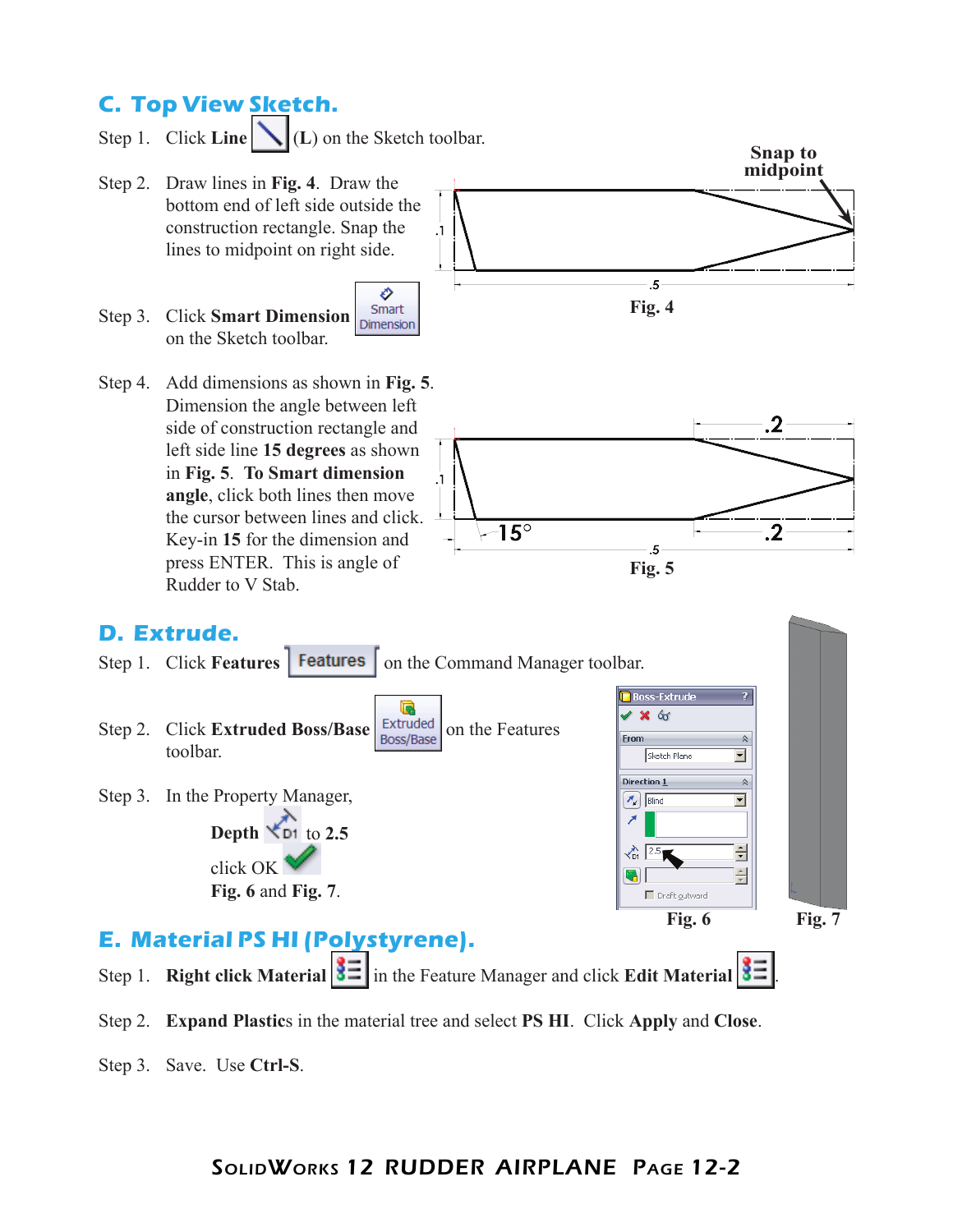## **C. Top View Sketch.**

- Step 1. Click **Line**  $\left| \bigwedge \right|$  (**L**) on the Sketch toolbar.
- Step 2. Draw lines in **Fig. 4**. Draw the bottom end of left side outside the construction rectangle. Snap the lines to midpoint on right side.
- Ò **Smart** Step 3. Click **Smart Dimension** Dimension on the Sketch toolbar.

 $\cdot$ 1

Step 4. Add dimensions as shown in **Fig. 5**. Dimension the angle between left side of construction rectangle and left side line **15 degrees** as shown in **Fig. 5**. **To Smart dimension angle**, click both lines then move the cursor between lines and click. Key-in **15** for the dimension and press ENTER. This is angle of Rudder to V Stab.

**midpoint**  $.5$ **Fig. 4**

**Snap to**



#### **D. Extrude.**



# Step 1. **Right click Material**  $\left| \frac{3}{2} \right|$  in the Feature Manager and click **Edit Material**  $\left| \frac{3}{2} \right|$

- Step 2. **Expand Plastic**s in the material tree and select **PS HI**. Click **Apply** and **Close**.
- Step 3. Save. Use **Ctrl-S**.

#### SolidWorks 12 RUDDER AIRPLANE Page 12-2